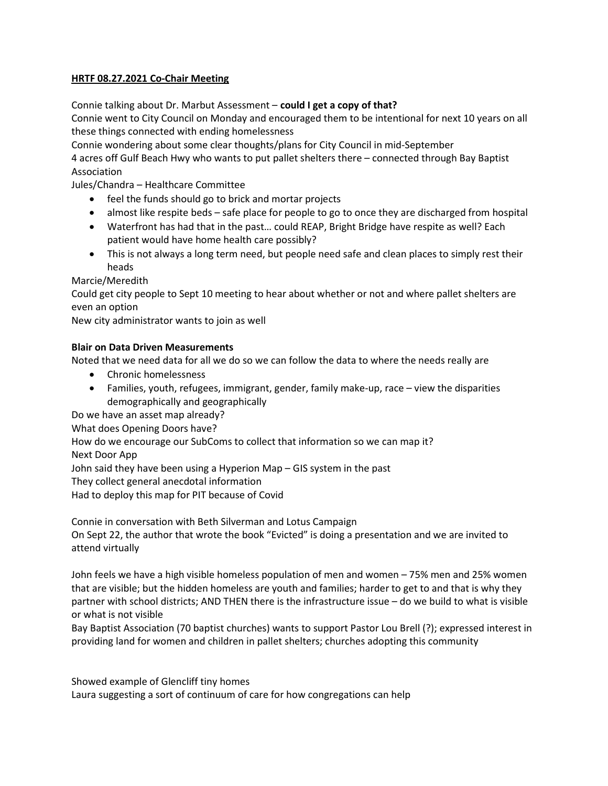## HRTF 08.27.2021 Co-Chair Meeting

Connie talking about Dr. Marbut Assessment – could I get a copy of that?

Connie went to City Council on Monday and encouraged them to be intentional for next 10 years on all these things connected with ending homelessness

Connie wondering about some clear thoughts/plans for City Council in mid-September 4 acres off Gulf Beach Hwy who wants to put pallet shelters there – connected through Bay Baptist

## Association

Jules/Chandra – Healthcare Committee

- feel the funds should go to brick and mortar projects
- almost like respite beds safe place for people to go to once they are discharged from hospital
- Waterfront has had that in the past… could REAP, Bright Bridge have respite as well? Each patient would have home health care possibly?
- This is not always a long term need, but people need safe and clean places to simply rest their heads

Marcie/Meredith

Could get city people to Sept 10 meeting to hear about whether or not and where pallet shelters are even an option

New city administrator wants to join as well

## Blair on Data Driven Measurements

Noted that we need data for all we do so we can follow the data to where the needs really are

- Chronic homelessness
- Families, youth, refugees, immigrant, gender, family make-up, race view the disparities demographically and geographically

Do we have an asset map already?

What does Opening Doors have?

How do we encourage our SubComs to collect that information so we can map it?

Next Door App

John said they have been using a Hyperion Map – GIS system in the past

They collect general anecdotal information

Had to deploy this map for PIT because of Covid

Connie in conversation with Beth Silverman and Lotus Campaign

On Sept 22, the author that wrote the book "Evicted" is doing a presentation and we are invited to attend virtually

John feels we have a high visible homeless population of men and women – 75% men and 25% women that are visible; but the hidden homeless are youth and families; harder to get to and that is why they partner with school districts; AND THEN there is the infrastructure issue – do we build to what is visible or what is not visible

Bay Baptist Association (70 baptist churches) wants to support Pastor Lou Brell (?); expressed interest in providing land for women and children in pallet shelters; churches adopting this community

Showed example of Glencliff tiny homes

Laura suggesting a sort of continuum of care for how congregations can help